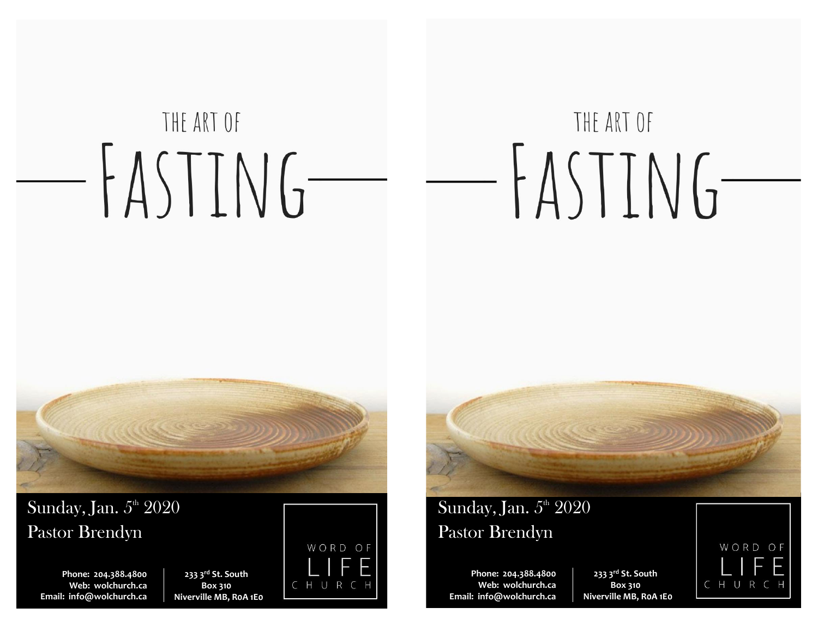# THE ART OF THE ART OF  $-FASTING -FASTING-$



 $\operatorname{Sunday,Jan.} 5^{\scriptscriptstyle\rm th}$   $2020$ Pastor Brendyn

**Phone: 204.388.4800 Web: wolchurch.ca Email: [info@wolchurch.ca](mailto:info@wolchurch.ca)**

**233 3rd St. South Box 310 Niverville MB, R0A 1E0**





# Sunday, Jan.  $5<sup>th</sup> 2020$ Pastor Brendyn

**Phone: 204.388.4800 Web: wolchurch.ca Email: [info@wolchurch.ca](mailto:info@wolchurch.ca)**

**233 3rd St. South Box 310 Niverville MB, R0A 1E0**